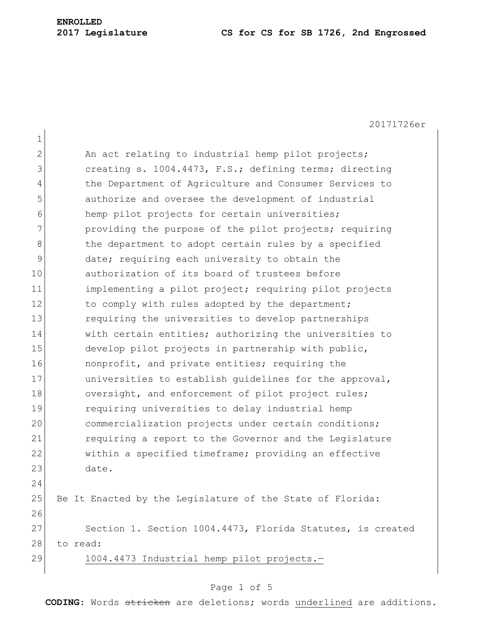20171726er 1 2 An act relating to industrial hemp pilot projects; 3 3 creating s. 1004.4473, F.S.; defining terms; directing 4 the Department of Agriculture and Consumer Services to 5 authorize and oversee the development of industrial 6 hemp pilot projects for certain universities; 7 providing the purpose of the pilot projects; requiring 8 b the department to adopt certain rules by a specified 9 date; requiring each university to obtain the 10 authorization of its board of trustees before 11 implementing a pilot project; requiring pilot projects 12 to comply with rules adopted by the department; 13 13 requiring the universities to develop partnerships 14 with certain entities; authorizing the universities to 15 develop pilot projects in partnership with public, 16 **nonprofit, and private entities; requiring the** 17 **universities to establish quidelines for the approval**, 18 oversight, and enforcement of pilot project rules; 19 requiring universities to delay industrial hemp 20 commercialization projects under certain conditions; 21 requiring a report to the Governor and the Legislature 22 within a specified timeframe; providing an effective 23 date. 24 25 Be It Enacted by the Legislature of the State of Florida: 26 27 Section 1. Section 1004.4473, Florida Statutes, is created 28 to read: 29 1004.4473 Industrial hemp pilot projects.-

### Page 1 of 5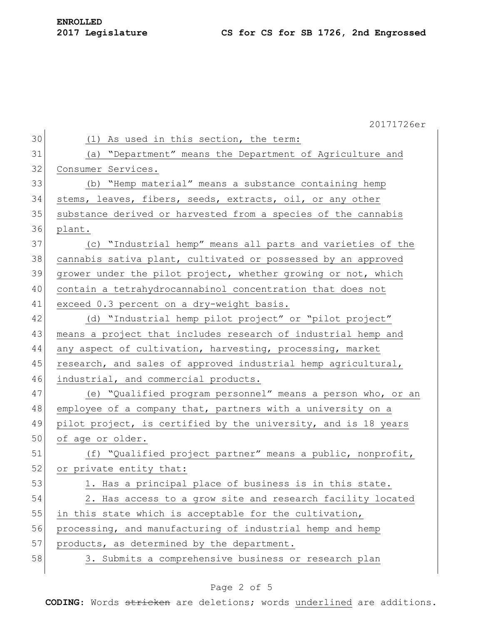|    | 20171726er                                                     |
|----|----------------------------------------------------------------|
| 30 | (1) As used in this section, the term:                         |
| 31 | "Department" means the Department of Agriculture and<br>(a)    |
| 32 | Consumer Services.                                             |
| 33 | (b) "Hemp material" means a substance containing hemp          |
| 34 | stems, leaves, fibers, seeds, extracts, oil, or any other      |
| 35 | substance derived or harvested from a species of the cannabis  |
| 36 | plant.                                                         |
| 37 | (c) "Industrial hemp" means all parts and varieties of the     |
| 38 | cannabis sativa plant, cultivated or possessed by an approved  |
| 39 | grower under the pilot project, whether growing or not, which  |
| 40 | contain a tetrahydrocannabinol concentration that does not     |
| 41 | exceed 0.3 percent on a dry-weight basis.                      |
| 42 | (d) "Industrial hemp pilot project" or "pilot project"         |
| 43 | means a project that includes research of industrial hemp and  |
| 44 | any aspect of cultivation, harvesting, processing, market      |
| 45 | research, and sales of approved industrial hemp agricultural,  |
| 46 | industrial, and commercial products.                           |
| 47 | (e) "Qualified program personnel" means a person who, or an    |
| 48 | employee of a company that, partners with a university on a    |
| 49 | pilot project, is certified by the university, and is 18 years |
| 50 | of age or older.                                               |
| 51 | (f) "Qualified project partner" means a public, nonprofit,     |
| 52 | or private entity that:                                        |
| 53 | 1. Has a principal place of business is in this state.         |
| 54 | 2. Has access to a grow site and research facility located     |
| 55 | in this state which is acceptable for the cultivation,         |
| 56 | processing, and manufacturing of industrial hemp and hemp      |
| 57 | products, as determined by the department.                     |
| 58 | 3. Submits a comprehensive business or research plan           |
|    |                                                                |

# Page 2 of 5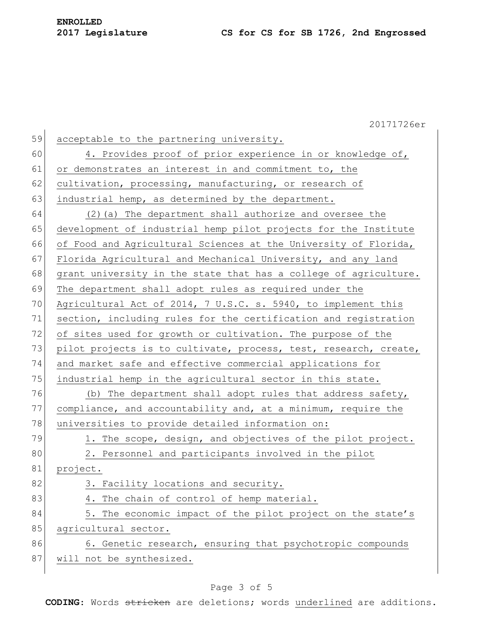20171726er 59 acceptable to the partnering university. 60 4. Provides proof of prior experience in or knowledge of, 61 or demonstrates an interest in and commitment to, the 62 cultivation, processing, manufacturing, or research of 63 industrial hemp, as determined by the department. 64 (2)(a) The department shall authorize and oversee the 65 development of industrial hemp pilot projects for the Institute 66 of Food and Agricultural Sciences at the University of Florida, 67 Florida Agricultural and Mechanical University, and any land  $68$  grant university in the state that has a college of agriculture. 69 The department shall adopt rules as required under the 70 Agricultural Act of 2014, 7 U.S.C. s. 5940, to implement this 71 section, including rules for the certification and registration 72 of sites used for growth or cultivation. The purpose of the 73 pilot projects is to cultivate, process, test, research, create, 74 and market safe and effective commercial applications for 75 industrial hemp in the agricultural sector in this state. 76 (b) The department shall adopt rules that address safety, 77 compliance, and accountability and, at a minimum, require the 78 universities to provide detailed information on: 79 1. The scope, design, and objectives of the pilot project. 80 2. Personnel and participants involved in the pilot 81 project. 82 3. Facility locations and security. 83 4. The chain of control of hemp material. 84 5. The economic impact of the pilot project on the state's 85 agricultural sector. 86 6. Genetic research, ensuring that psychotropic compounds 87 will not be synthesized.

#### Page 3 of 5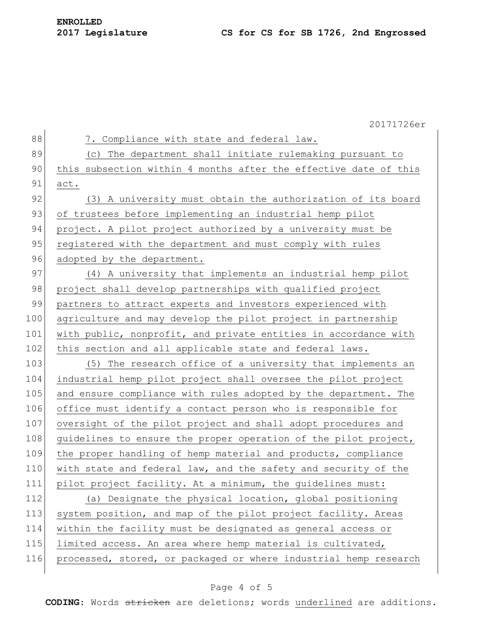|     | 20171726er                                                       |
|-----|------------------------------------------------------------------|
| 88  | 7. Compliance with state and federal law.                        |
| 89  | (c) The department shall initiate rulemaking pursuant to         |
| 90  | this subsection within 4 months after the effective date of this |
| 91  | act.                                                             |
| 92  | (3) A university must obtain the authorization of its board      |
| 93  | of trustees before implementing an industrial hemp pilot         |
| 94  | project. A pilot project authorized by a university must be      |
| 95  | registered with the department and must comply with rules        |
| 96  | adopted by the department.                                       |
| 97  | (4) A university that implements an industrial hemp pilot        |
| 98  | project shall develop partnerships with qualified project        |
| 99  | partners to attract experts and investors experienced with       |
| 100 | agriculture and may develop the pilot project in partnership     |
| 101 | with public, nonprofit, and private entities in accordance with  |
| 102 | this section and all applicable state and federal laws.          |
| 103 | The research office of a university that implements an<br>(5)    |
| 104 | industrial hemp pilot project shall oversee the pilot project    |
| 105 | and ensure compliance with rules adopted by the department. The  |
| 106 | office must identify a contact person who is responsible for     |
| 107 | oversight of the pilot project and shall adopt procedures and    |
| 108 | quidelines to ensure the proper operation of the pilot project,  |
| 109 | the proper handling of hemp material and products, compliance    |
| 110 | with state and federal law, and the safety and security of the   |
| 111 | pilot project facility. At a minimum, the guidelines must:       |
| 112 | (a) Designate the physical location, global positioning          |
| 113 | system position, and map of the pilot project facility. Areas    |
| 114 | within the facility must be designated as general access or      |
| 115 | limited access. An area where hemp material is cultivated,       |
| 116 | processed, stored, or packaged or where industrial hemp research |
|     |                                                                  |

### Page 4 of 5